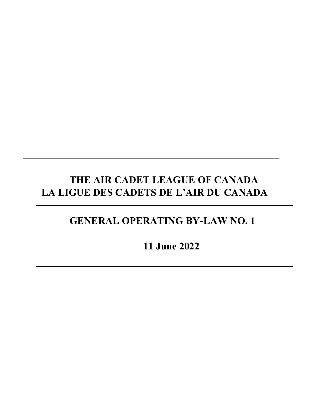# **THE AIR CADET LEAGUE OF CANADA LA LIGUE DES CADETS DE L'AIR DU CANADA**

## **GENERAL OPERATING BY-LAW NO. 1**

**11 June 2022**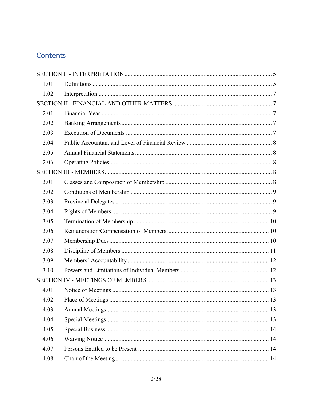## Contents

| 1.01 |  |  |  |
|------|--|--|--|
| 1.02 |  |  |  |
|      |  |  |  |
| 2.01 |  |  |  |
| 2.02 |  |  |  |
| 2.03 |  |  |  |
| 2.04 |  |  |  |
| 2.05 |  |  |  |
| 2.06 |  |  |  |
|      |  |  |  |
| 3.01 |  |  |  |
| 3.02 |  |  |  |
| 3.03 |  |  |  |
| 3.04 |  |  |  |
| 3.05 |  |  |  |
| 3.06 |  |  |  |
| 3.07 |  |  |  |
| 3.08 |  |  |  |
| 3.09 |  |  |  |
| 3.10 |  |  |  |
|      |  |  |  |
| 4.01 |  |  |  |
| 4.02 |  |  |  |
| 4.03 |  |  |  |
| 4.04 |  |  |  |
| 4.05 |  |  |  |
| 4.06 |  |  |  |
| 4.07 |  |  |  |
| 4.08 |  |  |  |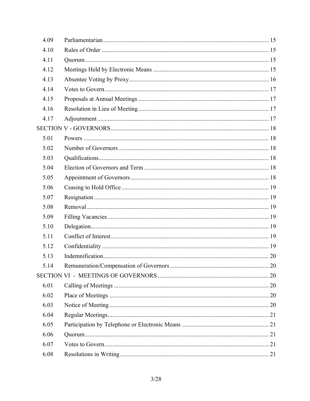| 4.09 |  |
|------|--|
| 4.10 |  |
| 4.11 |  |
| 4.12 |  |
| 4.13 |  |
| 4.14 |  |
| 4.15 |  |
| 4.16 |  |
| 4.17 |  |
|      |  |
| 5.01 |  |
| 5.02 |  |
| 5.03 |  |
| 5.04 |  |
| 5.05 |  |
| 5.06 |  |
| 5.07 |  |
| 5.08 |  |
| 5.09 |  |
| 5.10 |  |
| 5.11 |  |
| 5.12 |  |
| 5.13 |  |
| 5.14 |  |
|      |  |
| 6.01 |  |
| 6.02 |  |
| 6.03 |  |
| 6.04 |  |
| 6.05 |  |
| 6.06 |  |
| 6.07 |  |
| 6.08 |  |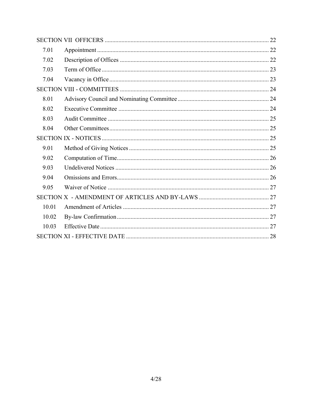| 7.01  |  |  |
|-------|--|--|
| 7.02  |  |  |
| 7.03  |  |  |
| 7.04  |  |  |
|       |  |  |
| 8.01  |  |  |
| 8.02  |  |  |
| 8.03  |  |  |
| 8.04  |  |  |
|       |  |  |
| 9.01  |  |  |
| 9.02  |  |  |
| 9.03  |  |  |
| 9.04  |  |  |
| 9.05  |  |  |
|       |  |  |
| 10.01 |  |  |
| 10.02 |  |  |
| 10.03 |  |  |
|       |  |  |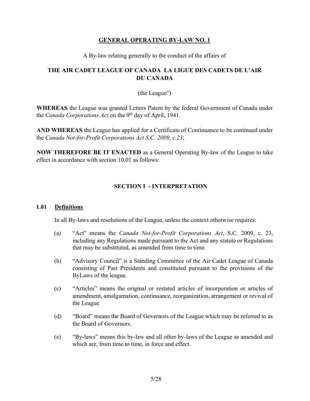## **GENERAL OPERATING BY-LAW NO. 1**

A By-law relating generally to the conduct of the affairs of

## **THE AIR CADET LEAGUE OF CANADA LA LIGUE DES CADETS DE L'AIR DU CANADA**

## (the League")

**WHEREAS** the League was granted Letters Patent by the federal Government of Canada under the *Canada Corporations Act* on the 9<sup>th</sup> day of April, 1941.

**AND WHEREAS** the League has applied for a Certificate of Continuance to be continued under the *Canada Not-for-Profit Corporations Act S.C. 2009, c.23*;

**NOW THEREFORE BE IT ENACTED** as a General Operating By-law of the League to take effect in accordance with section 10.01 as follows:

## **SECTION I - INTERPRETATION**

## <span id="page-4-1"></span><span id="page-4-0"></span>**1.01 Definitions**

In all By-laws and resolutions of the League, unless the context otherwise requires:

- (a) "Act" means the *Canada Not-for-Profit Corporations Act*, S.C. 2009, c. 23, including any Regulations made pursuant to the Act and any statute or Regulations that may be substituted, as amended from time to time.
- (b) "Advisory Council" is a Standing Committee of the Air Cadet League of Canada consisting of Past Presidents and constituted pursuant to the provisions of the ByLaws of the league.
- (c) "Articles" means the original or restated articles of incorporation or articles of amendment, amalgamation, continuance, reorganization, arrangement or revival of the League
- (d) "Board" means the Board of Governors of the League which may be referred to as the Board of Governors.
- (e) "By-laws" means this by-law and all other by-laws of the League as amended and which are, from time to time, in force and effect.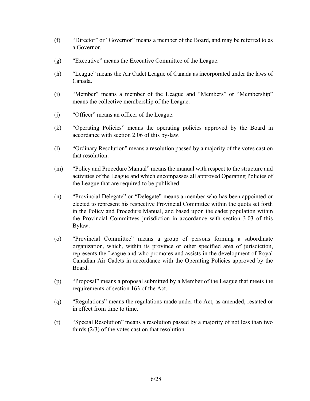- (f) "Director" or "Governor" means a member of the Board, and may be referred to as a Governor.
- (g) "Executive" means the Executive Committee of the League.
- (h) "League" means the Air Cadet League of Canada as incorporated under the laws of Canada.
- (i) "Member" means a member of the League and "Members" or "Membership" means the collective membership of the League.
- (j) "Officer" means an officer of the League.
- (k) "Operating Policies" means the operating policies approved by the Board in accordance with section 2.06 of this by-law.
- (l) "Ordinary Resolution" means a resolution passed by a majority of the votes cast on that resolution.
- (m) "Policy and Procedure Manual" means the manual with respect to the structure and activities of the League and which encompasses all approved Operating Policies of the League that are required to be published.
- (n) "Provincial Delegate" or "Delegate" means a member who has been appointed or elected to represent his respective Provincial Committee within the quota set forth in the Policy and Procedure Manual, and based upon the cadet population within the Provincial Committees jurisdiction in accordance with section 3.03 of this Bylaw.
- (o) "Provincial Committee" means a group of persons forming a subordinate organization, which, within its province or other specified area of jurisdiction, represents the League and who promotes and assists in the development of Royal Canadian Air Cadets in accordance with the Operating Policies approved by the Board.
- (p) "Proposal" means a proposal submitted by a Member of the League that meets the requirements of section 163 of the Act.
- (q) "Regulations" means the regulations made under the Act, as amended, restated or in effect from time to time.
- (r) "Special Resolution" means a resolution passed by a majority of not less than two thirds (2/3) of the votes cast on that resolution.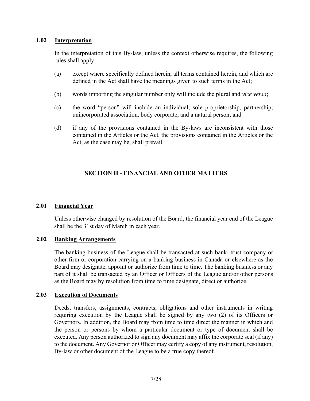## <span id="page-6-0"></span>**1.02 Interpretation**

In the interpretation of this By-law, unless the context otherwise requires, the following rules shall apply:

- (a) except where specifically defined herein, all terms contained herein, and which are defined in the Act shall have the meanings given to such terms in the Act;
- (b) words importing the singular number only will include the plural and *vice versa*;
- (c) the word "person" will include an individual, sole proprietorship, partnership, unincorporated association, body corporate, and a natural person; and
- <span id="page-6-1"></span>(d) if any of the provisions contained in the By-laws are inconsistent with those contained in the Articles or the Act, the provisions contained in the Articles or the Act, as the case may be, shall prevail.

## **SECTION II - FINANCIAL AND OTHER MATTERS**

## <span id="page-6-2"></span>**2.01 Financial Year**

Unless otherwise changed by resolution of the Board, the financial year end of the League shall be the 31st day of March in each year.

#### <span id="page-6-3"></span>**2.02 Banking Arrangements**

The banking business of the League shall be transacted at such bank, trust company or other firm or corporation carrying on a banking business in Canada or elsewhere as the Board may designate, appoint or authorize from time to time. The banking business or any part of it shall be transacted by an Officer or Officers of the League and/or other persons as the Board may by resolution from time to time designate, direct or authorize.

#### <span id="page-6-4"></span>**2.03 Execution of Documents**

Deeds, transfers, assignments, contracts, obligations and other instruments in writing requiring execution by the League shall be signed by any two (2) of its Officers or Governors. In addition, the Board may from time to time direct the manner in which and the person or persons by whom a particular document or type of document shall be executed. Any person authorized to sign any document may affix the corporate seal (if any) to the document. Any Governor or Officer may certify a copy of any instrument, resolution, By-law or other document of the League to be a true copy thereof.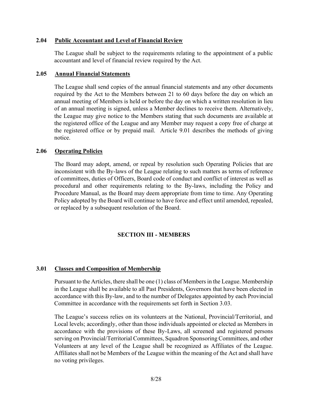#### <span id="page-7-0"></span>**2.04 Public Accountant and Level of Financial Review**

The League shall be subject to the requirements relating to the appointment of a public accountant and level of financial review required by the Act.

#### <span id="page-7-1"></span>**2.05 Annual Financial Statements**

The League shall send copies of the annual financial statements and any other documents required by the Act to the Members between 21 to 60 days before the day on which an annual meeting of Members is held or before the day on which a written resolution in lieu of an annual meeting is signed, unless a Member declines to receive them. Alternatively, the League may give notice to the Members stating that such documents are available at the registered office of the League and any Member may request a copy free of charge at the registered office or by prepaid mail. Article 9.01 describes the methods of giving notice.

#### <span id="page-7-2"></span>**2.06 Operating Policies**

The Board may adopt, amend, or repeal by resolution such Operating Policies that are inconsistent with the By-laws of the League relating to such matters as terms of reference of committees, duties of Officers, Board code of conduct and conflict of interest as well as procedural and other requirements relating to the By-laws, including the Policy and Procedure Manual, as the Board may deem appropriate from time to time. Any Operating Policy adopted by the Board will continue to have force and effect until amended, repealed, or replaced by a subsequent resolution of the Board.

## **SECTION III - MEMBERS**

## <span id="page-7-4"></span><span id="page-7-3"></span>**3.01 Classes and Composition of Membership**

Pursuant to the Articles, there shall be one (1) class of Members in the League. Membership in the League shall be available to all Past Presidents, Governors that have been elected in accordance with this By-law, and to the number of Delegates appointed by each Provincial Committee in accordance with the requirements set forth in Section 3.03.

The League's success relies on its volunteers at the National, Provincial/Territorial, and Local levels; accordingly, other than those individuals appointed or elected as Members in accordance with the provisions of these By-Laws, all screened and registered persons serving on Provincial/Territorial Committees, Squadron Sponsoring Committees, and other Volunteers at any level of the League shall be recognized as Affiliates of the League. Affiliates shall not be Members of the League within the meaning of the Act and shall have no voting privileges.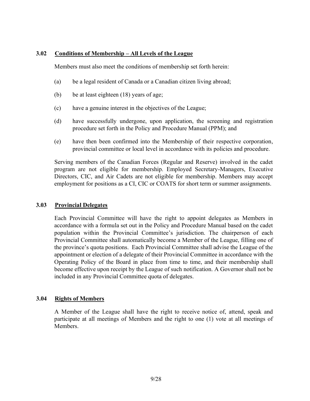#### <span id="page-8-0"></span>**3.02 Conditions of Membership – All Levels of the League**

Members must also meet the conditions of membership set forth herein:

- (a) be a legal resident of Canada or a Canadian citizen living abroad;
- (b) be at least eighteen (18) years of age;
- (c) have a genuine interest in the objectives of the League;
- (d) have successfully undergone, upon application, the screening and registration procedure set forth in the Policy and Procedure Manual (PPM); and
- (e) have then been confirmed into the Membership of their respective corporation, provincial committee or local level in accordance with its policies and procedure.

<span id="page-8-1"></span>Serving members of the Canadian Forces (Regular and Reserve) involved in the cadet program are not eligible for membership. Employed Secretary-Managers, Executive Directors, CIC, and Air Cadets are not eligible for membership. Members may accept employment for positions as a CI, CIC or COATS for short term or summer assignments.

#### **3.03 Provincial Delegates**

Each Provincial Committee will have the right to appoint delegates as Members in accordance with a formula set out in the Policy and Procedure Manual based on the cadet population within the Provincial Committee's jurisdiction. The chairperson of each Provincial Committee shall automatically become a Member of the League, filling one of the province's quota positions. Each Provincial Committee shall advise the League of the appointment or election of a delegate of their Provincial Committee in accordance with the Operating Policy of the Board in place from time to time, and their membership shall become effective upon receipt by the League of such notification. A Governor shall not be included in any Provincial Committee quota of delegates.

#### <span id="page-8-2"></span>**3.04 Rights of Members**

A Member of the League shall have the right to receive notice of, attend, speak and participate at all meetings of Members and the right to one (1) vote at all meetings of Members.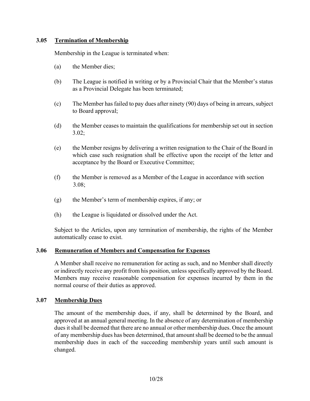## <span id="page-9-0"></span>**3.05 Termination of Membership**

Membership in the League is terminated when:

- (a) the Member dies;
- (b) The League is notified in writing or by a Provincial Chair that the Member's status as a Provincial Delegate has been terminated;
- (c) The Member has failed to pay dues after ninety (90) days of being in arrears, subject to Board approval;
- (d) the Member ceases to maintain the qualifications for membership set out in section 3.02;
- (e) the Member resigns by delivering a written resignation to the Chair of the Board in which case such resignation shall be effective upon the receipt of the letter and acceptance by the Board or Executive Committee;
- (f) the Member is removed as a Member of the League in accordance with section 3.08;
- (g) the Member's term of membership expires, if any; or
- (h) the League is liquidated or dissolved under the Act.

Subject to the Articles, upon any termination of membership, the rights of the Member automatically cease to exist.

#### <span id="page-9-1"></span>**3.06 Remuneration of Members and Compensation for Expenses**

A Member shall receive no remuneration for acting as such, and no Member shall directly or indirectly receive any profit from his position, unless specifically approved by the Board. Members may receive reasonable compensation for expenses incurred by them in the normal course of their duties as approved.

## <span id="page-9-2"></span>**3.07 Membership Dues**

The amount of the membership dues, if any, shall be determined by the Board, and approved at an annual general meeting. In the absence of any determination of membership dues it shall be deemed that there are no annual or other membership dues. Once the amount of any membership dues has been determined, that amount shall be deemed to be the annual membership dues in each of the succeeding membership years until such amount is changed.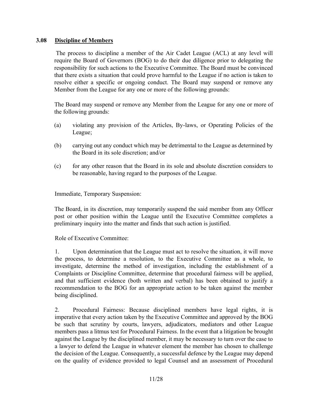## <span id="page-10-0"></span>**3.08 Discipline of Members**

The process to discipline a member of the Air Cadet League (ACL) at any level will require the Board of Governors (BOG) to do their due diligence prior to delegating the responsibility for such actions to the Executive Committee. The Board must be convinced that there exists a situation that could prove harmful to the League if no action is taken to resolve either a specific or ongoing conduct. The Board may suspend or remove any Member from the League for any one or more of the following grounds:

The Board may suspend or remove any Member from the League for any one or more of the following grounds:

- (a) violating any provision of the Articles, By-laws, or Operating Policies of the League;
- (b) carrying out any conduct which may be detrimental to the League as determined by the Board in its sole discretion; and/or
- (c) for any other reason that the Board in its sole and absolute discretion considers to be reasonable, having regard to the purposes of the League.

Immediate, Temporary Suspension:

The Board, in its discretion, may temporarily suspend the said member from any Officer post or other position within the League until the Executive Committee completes a preliminary inquiry into the matter and finds that such action is justified.

Role of Executive Committee:

1. Upon determination that the League must act to resolve the situation, it will move the process, to determine a resolution, to the Executive Committee as a whole, to investigate, determine the method of investigation, including the establishment of a Complaints or Discipline Committee, determine that procedural fairness will be applied, and that sufficient evidence (both written and verbal) has been obtained to justify a recommendation to the BOG for an appropriate action to be taken against the member being disciplined.

2. Procedural Fairness: Because disciplined members have legal rights, it is imperative that every action taken by the Executive Committee and approved by the BOG be such that scrutiny by courts, lawyers, adjudicators, mediators and other League members pass a litmus test for Procedural Fairness. In the event that a litigation be brought against the League by the disciplined member, it may be necessary to turn over the case to a lawyer to defend the League in whatever element the member has chosen to challenge the decision of the League. Consequently, a successful defence by the League may depend on the quality of evidence provided to legal Counsel and an assessment of Procedural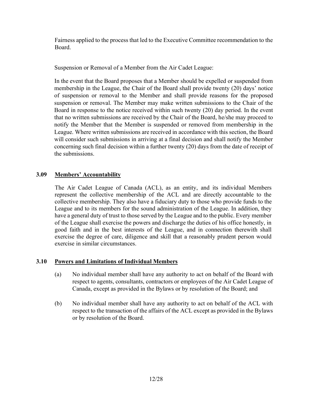Fairness applied to the process that led to the Executive Committee recommendation to the Board.

Suspension or Removal of a Member from the Air Cadet League:

In the event that the Board proposes that a Member should be expelled or suspended from membership in the League, the Chair of the Board shall provide twenty (20) days' notice of suspension or removal to the Member and shall provide reasons for the proposed suspension or removal. The Member may make written submissions to the Chair of the Board in response to the notice received within such twenty (20) day period. In the event that no written submissions are received by the Chair of the Board, he/she may proceed to notify the Member that the Member is suspended or removed from membership in the League. Where written submissions are received in accordance with this section, the Board will consider such submissions in arriving at a final decision and shall notify the Member concerning such final decision within a further twenty (20) days from the date of receipt of the submissions.

## <span id="page-11-0"></span>**3.09 Members' Accountability**

The Air Cadet League of Canada (ACL), as an entity, and its individual Members represent the collective membership of the ACL and are directly accountable to the collective membership. They also have a fiduciary duty to those who provide funds to the League and to its members for the sound administration of the League. In addition, they have a general duty of trust to those served by the League and to the public. Every member of the League shall exercise the powers and discharge the duties of his office honestly, in good faith and in the best interests of the League, and in connection therewith shall exercise the degree of care, diligence and skill that a reasonably prudent person would exercise in similar circumstances.

## <span id="page-11-1"></span>**3.10 Powers and Limitations of Individual Members**

- (a) No individual member shall have any authority to act on behalf of the Board with respect to agents, consultants, contractors or employees of the Air Cadet League of Canada, except as provided in the Bylaws or by resolution of the Board; and
- (b) No individual member shall have any authority to act on behalf of the ACL with respect to the transaction of the affairs of the ACL except as provided in the Bylaws or by resolution of the Board.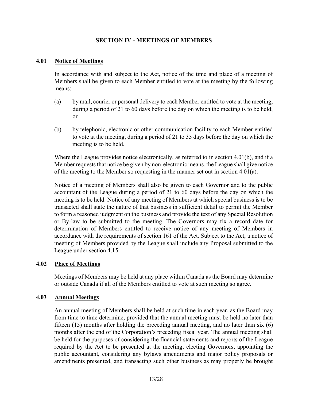## **SECTION IV - MEETINGS OF MEMBERS**

#### <span id="page-12-1"></span><span id="page-12-0"></span>**4.01 Notice of Meetings**

In accordance with and subject to the Act, notice of the time and place of a meeting of Members shall be given to each Member entitled to vote at the meeting by the following means:

- (a) by mail, courier or personal delivery to each Member entitled to vote at the meeting, during a period of 21 to 60 days before the day on which the meeting is to be held; or
- (b) by telephonic, electronic or other communication facility to each Member entitled to vote at the meeting, during a period of 21 to 35 days before the day on which the meeting is to be held.

Where the League provides notice electronically, as referred to in section 4.01(b), and if a Member requests that notice be given by non-electronic means, the League shall give notice of the meeting to the Member so requesting in the manner set out in section 4.01(a).

Notice of a meeting of Members shall also be given to each Governor and to the public accountant of the League during a period of 21 to 60 days before the day on which the meeting is to be held. Notice of any meeting of Members at which special business is to be transacted shall state the nature of that business in sufficient detail to permit the Member to form a reasoned judgment on the business and provide the text of any Special Resolution or By-law to be submitted to the meeting. The Governors may fix a record date for determination of Members entitled to receive notice of any meeting of Members in accordance with the requirements of section 161 of the Act. Subject to the Act, a notice of meeting of Members provided by the League shall include any Proposal submitted to the League under section 4.15.

#### <span id="page-12-2"></span>**4.02 Place of Meetings**

Meetings of Members may be held at any place within Canada as the Board may determine or outside Canada if all of the Members entitled to vote at such meeting so agree.

#### <span id="page-12-4"></span><span id="page-12-3"></span>**4.03 Annual Meetings**

An annual meeting of Members shall be held at such time in each year, as the Board may from time to time determine, provided that the annual meeting must be held no later than fifteen (15) months after holding the preceding annual meeting, and no later than six (6) months after the end of the Corporation's preceding fiscal year. The annual meeting shall be held for the purposes of considering the financial statements and reports of the League required by the Act to be presented at the meeting, electing Governors, appointing the public accountant, considering any bylaws amendments and major policy proposals or amendments presented, and transacting such other business as may properly be brought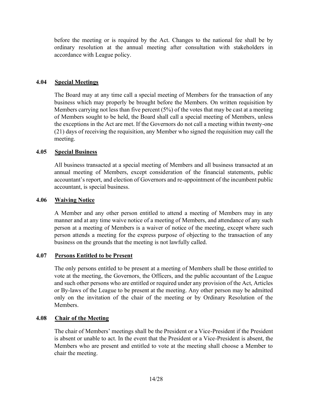before the meeting or is required by the Act. Changes to the national fee shall be by ordinary resolution at the annual meeting after consultation with stakeholders in accordance with League policy.

## **4.04 Special Meetings**

The Board may at any time call a special meeting of Members for the transaction of any business which may properly be brought before the Members. On written requisition by Members carrying not less than five percent (5%) of the votes that may be cast at a meeting of Members sought to be held, the Board shall call a special meeting of Members, unless the exceptions in the Act are met. If the Governors do not call a meeting within twenty-one (21) days of receiving the requisition, any Member who signed the requisition may call the meeting.

## <span id="page-13-0"></span>**4.05 Special Business**

All business transacted at a special meeting of Members and all business transacted at an annual meeting of Members, except consideration of the financial statements, public accountant's report, and election of Governors and re-appointment of the incumbent public accountant, is special business.

## <span id="page-13-1"></span>**4.06 Waiving Notice**

A Member and any other person entitled to attend a meeting of Members may in any manner and at any time waive notice of a meeting of Members, and attendance of any such person at a meeting of Members is a waiver of notice of the meeting, except where such person attends a meeting for the express purpose of objecting to the transaction of any business on the grounds that the meeting is not lawfully called.

## <span id="page-13-2"></span>**4.07 Persons Entitled to be Present**

The only persons entitled to be present at a meeting of Members shall be those entitled to vote at the meeting, the Governors, the Officers, and the public accountant of the League and such other persons who are entitled or required under any provision of the Act, Articles or By-laws of the League to be present at the meeting. Any other person may be admitted only on the invitation of the chair of the meeting or by Ordinary Resolution of the **Members** 

## <span id="page-13-3"></span>**4.08 Chair of the Meeting**

The chair of Members' meetings shall be the President or a Vice-President if the President is absent or unable to act. In the event that the President or a Vice-President is absent, the Members who are present and entitled to vote at the meeting shall choose a Member to chair the meeting.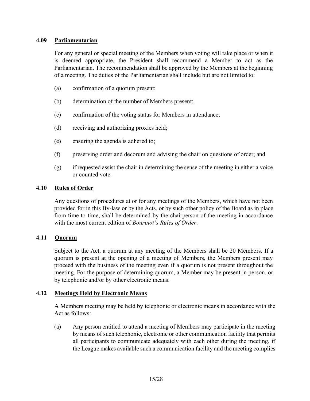## <span id="page-14-0"></span>**4.09 Parliamentarian**

For any general or special meeting of the Members when voting will take place or when it is deemed appropriate, the President shall recommend a Member to act as the Parliamentarian. The recommendation shall be approved by the Members at the beginning of a meeting. The duties of the Parliamentarian shall include but are not limited to:

- (a) confirmation of a quorum present;
- (b) determination of the number of Members present;
- (c) confirmation of the voting status for Members in attendance;
- (d) receiving and authorizing proxies held;
- (e) ensuring the agenda is adhered to;
- (f) preserving order and decorum and advising the chair on questions of order; and
- (g) if requested assist the chair in determining the sense of the meeting in either a voice or counted vote.

#### <span id="page-14-1"></span>**4.10 Rules of Order**

Any questions of procedures at or for any meetings of the Members, which have not been provided for in this By-law or by the Acts, or by such other policy of the Board as in place from time to time, shall be determined by the chairperson of the meeting in accordance with the most current edition of *Bourinot's Rules of Order*.

## <span id="page-14-2"></span>**4.11 Quorum**

Subject to the Act, a quorum at any meeting of the Members shall be 20 Members. If a quorum is present at the opening of a meeting of Members, the Members present may proceed with the business of the meeting even if a quorum is not present throughout the meeting. For the purpose of determining quorum, a Member may be present in person, or by telephonic and/or by other electronic means.

#### <span id="page-14-3"></span>**4.12 Meetings Held by Electronic Means**

A Members meeting may be held by telephonic or electronic means in accordance with the Act as follows:

(a) Any person entitled to attend a meeting of Members may participate in the meeting by means of such telephonic, electronic or other communication facility that permits all participants to communicate adequately with each other during the meeting, if the League makes available such a communication facility and the meeting complies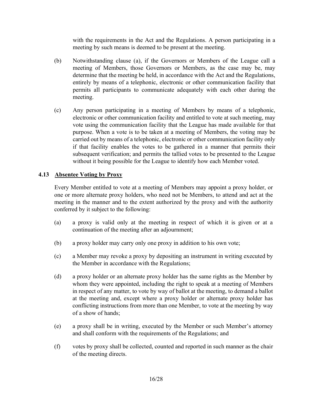with the requirements in the Act and the Regulations. A person participating in a meeting by such means is deemed to be present at the meeting.

- (b) Notwithstanding clause (a), if the Governors or Members of the League call a meeting of Members, those Governors or Members, as the case may be, may determine that the meeting be held, in accordance with the Act and the Regulations, entirely by means of a telephonic, electronic or other communication facility that permits all participants to communicate adequately with each other during the meeting.
- (c) Any person participating in a meeting of Members by means of a telephonic, electronic or other communication facility and entitled to vote at such meeting, may vote using the communication facility that the League has made available for that purpose. When a vote is to be taken at a meeting of Members, the voting may be carried out by means of a telephonic, electronic or other communication facility only if that facility enables the votes to be gathered in a manner that permits their subsequent verification; and permits the tallied votes to be presented to the League without it being possible for the League to identify how each Member voted.

## <span id="page-15-0"></span>**4.13 Absentee Voting by Proxy**

Every Member entitled to vote at a meeting of Members may appoint a proxy holder, or one or more alternate proxy holders, who need not be Members, to attend and act at the meeting in the manner and to the extent authorized by the proxy and with the authority conferred by it subject to the following:

- (a) a proxy is valid only at the meeting in respect of which it is given or at a continuation of the meeting after an adjournment;
- (b) a proxy holder may carry only one proxy in addition to his own vote;
- (c) a Member may revoke a proxy by depositing an instrument in writing executed by the Member in accordance with the Regulations;
- (d) a proxy holder or an alternate proxy holder has the same rights as the Member by whom they were appointed, including the right to speak at a meeting of Members in respect of any matter, to vote by way of ballot at the meeting, to demand a ballot at the meeting and, except where a proxy holder or alternate proxy holder has conflicting instructions from more than one Member, to vote at the meeting by way of a show of hands;
- (e) a proxy shall be in writing, executed by the Member or such Member's attorney and shall conform with the requirements of the Regulations; and
- (f) votes by proxy shall be collected, counted and reported in such manner as the chair of the meeting directs.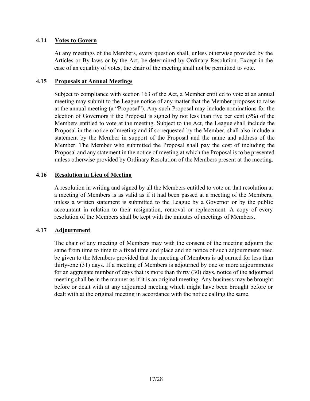## <span id="page-16-0"></span>**4.14 Votes to Govern**

At any meetings of the Members, every question shall, unless otherwise provided by the Articles or By-laws or by the Act, be determined by Ordinary Resolution. Except in the case of an equality of votes, the chair of the meeting shall not be permitted to vote.

## <span id="page-16-1"></span>**4.15 Proposals at Annual Meetings**

Subject to compliance with section 163 of the Act, a Member entitled to vote at an annual meeting may submit to the League notice of any matter that the Member proposes to raise at the annual meeting (a "Proposal"). Any such Proposal may include nominations for the election of Governors if the Proposal is signed by not less than five per cent (5%) of the Members entitled to vote at the meeting. Subject to the Act, the League shall include the Proposal in the notice of meeting and if so requested by the Member, shall also include a statement by the Member in support of the Proposal and the name and address of the Member. The Member who submitted the Proposal shall pay the cost of including the Proposal and any statement in the notice of meeting at which the Proposal is to be presented unless otherwise provided by Ordinary Resolution of the Members present at the meeting.

## <span id="page-16-2"></span>**4.16 Resolution in Lieu of Meeting**

A resolution in writing and signed by all the Members entitled to vote on that resolution at a meeting of Members is as valid as if it had been passed at a meeting of the Members, unless a written statement is submitted to the League by a Governor or by the public accountant in relation to their resignation, removal or replacement. A copy of every resolution of the Members shall be kept with the minutes of meetings of Members.

## <span id="page-16-3"></span>**4.17 Adjournment**

The chair of any meeting of Members may with the consent of the meeting adjourn the same from time to time to a fixed time and place and no notice of such adjournment need be given to the Members provided that the meeting of Members is adjourned for less than thirty-one (31) days. If a meeting of Members is adjourned by one or more adjournments for an aggregate number of days that is more than thirty (30) days, notice of the adjourned meeting shall be in the manner as if it is an original meeting. Any business may be brought before or dealt with at any adjourned meeting which might have been brought before or dealt with at the original meeting in accordance with the notice calling the same.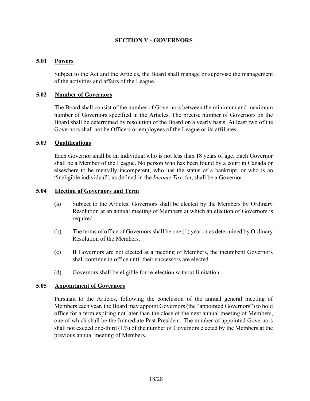## **SECTION V - GOVERNORS**

#### <span id="page-17-1"></span><span id="page-17-0"></span>**5.01 Powers**

Subject to the Act and the Articles, the Board shall manage or supervise the management of the activities and affairs of the League.

#### <span id="page-17-2"></span>**5.02 Number of Governors**

The Board shall consist of the number of Governors between the minimum and maximum number of Governors specified in the Articles. The precise number of Governors on the Board shall be determined by resolution of the Board on a yearly basis. At least two of the Governors shall not be Officers or employees of the League or its affiliates.

#### <span id="page-17-3"></span>**5.03 Qualifications**

Each Governor shall be an individual who is not less than 18 years of age. Each Governor shall be a Member of the League. No person who has been found by a court in Canada or elsewhere to be mentally incompetent, who has the status of a bankrupt, or who is an "ineligible individual", as defined in the *Income Tax Act*, shall be a Governor.

#### <span id="page-17-4"></span>**5.04 Election of Governors and Term**

- (a) Subject to the Articles, Governors shall be elected by the Members by Ordinary Resolution at an annual meeting of Members at which an election of Governors is required.
- (b) The terms of office of Governors shall be one (1) year or as determined by Ordinary Resolution of the Members.
- (c) If Governors are not elected at a meeting of Members, the incumbent Governors shall continue in office until their successors are elected.
- (d) Governors shall be eligible for re-election without limitation.

#### <span id="page-17-5"></span>**5.05 Appointment of Governors**

Pursuant to the Articles, following the conclusion of the annual general meeting of Members each year, the Board may appoint Governors (the "appointed Governors") to hold office for a term expiring not later than the close of the next annual meeting of Members, one of which shall be the Immediate Past President. The number of appointed Governors shall not exceed one-third (1/3) of the number of Governors elected by the Members at the previous annual meeting of Members.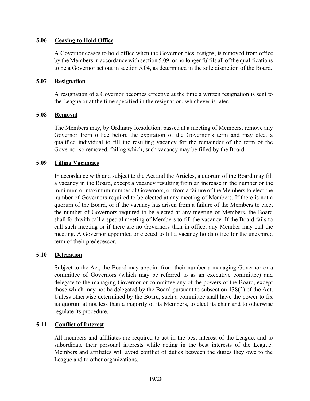## <span id="page-18-0"></span>**5.06 Ceasing to Hold Office**

A Governor ceases to hold office when the Governor dies, resigns, is removed from office by the Members in accordance with section 5.09, or no longer fulfils all of the qualifications to be a Governor set out in section 5.04, as determined in the sole discretion of the Board.

#### <span id="page-18-1"></span>**5.07 Resignation**

A resignation of a Governor becomes effective at the time a written resignation is sent to the League or at the time specified in the resignation, whichever is later.

#### <span id="page-18-2"></span>**5.08 Removal**

The Members may, by Ordinary Resolution, passed at a meeting of Members, remove any Governor from office before the expiration of the Governor's term and may elect a qualified individual to fill the resulting vacancy for the remainder of the term of the Governor so removed, failing which, such vacancy may be filled by the Board.

#### <span id="page-18-3"></span>**5.09 Filling Vacancies**

In accordance with and subject to the Act and the Articles, a quorum of the Board may fill a vacancy in the Board, except a vacancy resulting from an increase in the number or the minimum or maximum number of Governors, or from a failure of the Members to elect the number of Governors required to be elected at any meeting of Members. If there is not a quorum of the Board, or if the vacancy has arisen from a failure of the Members to elect the number of Governors required to be elected at any meeting of Members, the Board shall forthwith call a special meeting of Members to fill the vacancy. If the Board fails to call such meeting or if there are no Governors then in office, any Member may call the meeting. A Governor appointed or elected to fill a vacancy holds office for the unexpired term of their predecessor.

## <span id="page-18-4"></span>**5.10 Delegation**

Subject to the Act, the Board may appoint from their number a managing Governor or a committee of Governors (which may be referred to as an executive committee) and delegate to the managing Governor or committee any of the powers of the Board, except those which may not be delegated by the Board pursuant to subsection 138(2) of the Act. Unless otherwise determined by the Board, such a committee shall have the power to fix its quorum at not less than a majority of its Members, to elect its chair and to otherwise regulate its procedure.

## <span id="page-18-6"></span><span id="page-18-5"></span>**5.11 Conflict of Interest**

All members and affiliates are required to act in the best interest of the League, and to subordinate their personal interests while acting in the best interests of the League. Members and affiliates will avoid conflict of duties between the duties they owe to the League and to other organizations.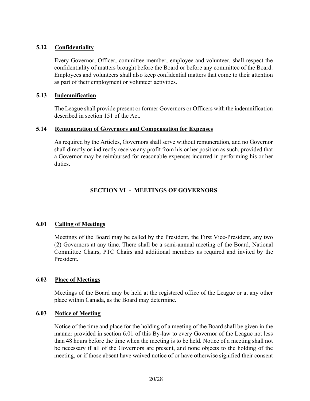## **5.12 Confidentiality**

Every Governor, Officer, committee member, employee and volunteer, shall respect the confidentiality of matters brought before the Board or before any committee of the Board. Employees and volunteers shall also keep confidential matters that come to their attention as part of their employment or volunteer activities.

## <span id="page-19-0"></span>**5.13 Indemnification**

The League shall provide present or former Governors or Officers with the indemnification described in section 151 of the Act.

## <span id="page-19-1"></span>**5.14 Remuneration of Governors and Compensation for Expenses**

<span id="page-19-2"></span>As required by the Articles, Governors shall serve without remuneration, and no Governor shall directly or indirectly receive any profit from his or her position as such, provided that a Governor may be reimbursed for reasonable expenses incurred in performing his or her duties.

## **SECTION VI - MEETINGS OF GOVERNORS**

## <span id="page-19-4"></span><span id="page-19-3"></span>**6.01 Calling of Meetings**

Meetings of the Board may be called by the President, the First Vice-President, any two (2) Governors at any time. There shall be a semi-annual meeting of the Board, National Committee Chairs, PTC Chairs and additional members as required and invited by the President.

## **6.02 Place of Meetings**

Meetings of the Board may be held at the registered office of the League or at any other place within Canada, as the Board may determine.

## <span id="page-19-5"></span>**6.03 Notice of Meeting**

Notice of the time and place for the holding of a meeting of the Board shall be given in the manner provided in section 6.01 of this By-law to every Governor of the League not less than 48 hours before the time when the meeting is to be held. Notice of a meeting shall not be necessary if all of the Governors are present, and none objects to the holding of the meeting, or if those absent have waived notice of or have otherwise signified their consent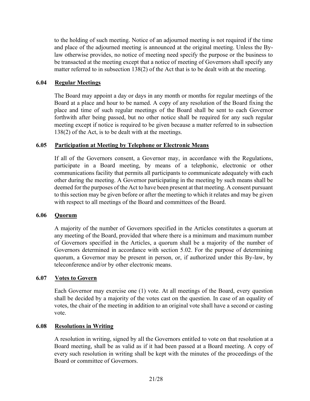to the holding of such meeting. Notice of an adjourned meeting is not required if the time and place of the adjourned meeting is announced at the original meeting. Unless the Bylaw otherwise provides, no notice of meeting need specify the purpose or the business to be transacted at the meeting except that a notice of meeting of Governors shall specify any matter referred to in subsection 138(2) of the Act that is to be dealt with at the meeting.

## <span id="page-20-0"></span>**6.04 Regular Meetings**

The Board may appoint a day or days in any month or months for regular meetings of the Board at a place and hour to be named. A copy of any resolution of the Board fixing the place and time of such regular meetings of the Board shall be sent to each Governor forthwith after being passed, but no other notice shall be required for any such regular meeting except if notice is required to be given because a matter referred to in subsection 138(2) of the Act, is to be dealt with at the meetings.

## <span id="page-20-1"></span>**6.05 Participation at Meeting by Telephone or Electronic Means**

If all of the Governors consent, a Governor may, in accordance with the Regulations, participate in a Board meeting, by means of a telephonic, electronic or other communications facility that permits all participants to communicate adequately with each other during the meeting. A Governor participating in the meeting by such means shall be deemed for the purposes of the Act to have been present at that meeting. A consent pursuant to this section may be given before or after the meeting to which it relates and may be given with respect to all meetings of the Board and committees of the Board.

## <span id="page-20-2"></span>**6.06 Quorum**

A majority of the number of Governors specified in the Articles constitutes a quorum at any meeting of the Board, provided that where there is a minimum and maximum number of Governors specified in the Articles, a quorum shall be a majority of the number of Governors determined in accordance with section 5.02. For the purpose of determining quorum, a Governor may be present in person, or, if authorized under this By-law, by teleconference and/or by other electronic means.

## <span id="page-20-3"></span>**6.07 Votes to Govern**

Each Governor may exercise one (1) vote. At all meetings of the Board, every question shall be decided by a majority of the votes cast on the question. In case of an equality of votes, the chair of the meeting in addition to an original vote shall have a second or casting vote.

#### <span id="page-20-4"></span>**6.08 Resolutions in Writing**

A resolution in writing, signed by all the Governors entitled to vote on that resolution at a Board meeting, shall be as valid as if it had been passed at a Board meeting. A copy of every such resolution in writing shall be kept with the minutes of the proceedings of the Board or committee of Governors.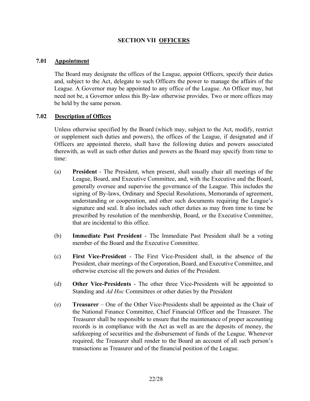## **SECTION VII OFFICERS**

## <span id="page-21-1"></span><span id="page-21-0"></span>**7.01 Appointment**

The Board may designate the offices of the League, appoint Officers, specify their duties and, subject to the Act, delegate to such Officers the power to manage the affairs of the League. A Governor may be appointed to any office of the League. An Officer may, but need not be, a Governor unless this By-law otherwise provides. Two or more offices may be held by the same person.

#### <span id="page-21-2"></span>**7.02 Description of Offices**

Unless otherwise specified by the Board (which may, subject to the Act, modify, restrict or supplement such duties and powers), the offices of the League, if designated and if Officers are appointed thereto, shall have the following duties and powers associated therewith, as well as such other duties and powers as the Board may specify from time to time:

- (a) **President** The President, when present, shall usually chair all meetings of the League, Board, and Executive Committee, and, with the Executive and the Board, generally oversee and supervise the governance of the League. This includes the signing of By-laws, Ordinary and Special Resolutions, Memoranda of agreement, understanding or cooperation, and other such documents requiring the League's signature and seal. It also includes such other duties as may from time to time be prescribed by resolution of the membership, Board, or the Executive Committee, that are incidental to this office.
- (b) **Immediate Past President** The Immediate Past President shall be a voting member of the Board and the Executive Committee.
- (c) **First Vice-President** The First Vice-President shall, in the absence of the President, chair meetings of the Corporation, Board, and Executive Committee, and otherwise exercise all the powers and duties of the President.
- (d) **Other Vice-Presidents** The other three Vice-Presidents will be appointed to Standing and *Ad Hoc* Committees or other duties by the President
- (e) **Treasurer** One of the Other Vice-Presidents shall be appointed as the Chair of the National Finance Committee, Chief Financial Officer and the Treasurer. The Treasurer shall be responsible to ensure that the maintenance of proper accounting records is in compliance with the Act as well as are the deposits of money, the safekeeping of securities and the disbursement of funds of the League. Whenever required, the Treasurer shall render to the Board an account of all such person's transactions as Treasurer and of the financial position of the League.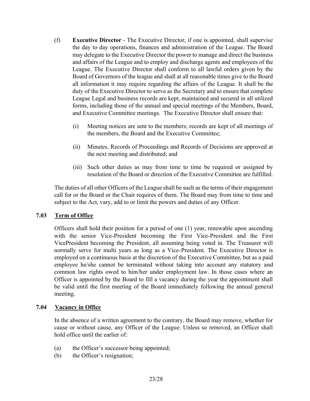- (f) **Executive Director**  The Executive Director, if one is appointed, shall supervise the day to day operations, finances and administration of the League. The Board may delegate to the Executive Director the power to manage and direct the business and affairs of the League and to employ and discharge agents and employees of the League. The Executive Director shall conform to all lawful orders given by the Board of Governors of the league and shall at all reasonable times give to the Board all information it may require regarding the affairs of the League. It shall be the duty of the Executive Director to serve as the Secretary and to ensure that complete League Legal and business records are kept, maintained and secured in all utilized forms, including those of the annual and special meetings of the Members, Board, and Executive Committee meetings. The Executive Director shall ensure that:
	- (i) Meeting notices are sent to the members; records are kept of all meetings of the members, the Board and the Executive Committee;
	- (ii) Minutes, Records of Proceedings and Records of Decisions are approved at the next meeting and distributed; and
	- (iii) Such other duties as may from time to time be required or assigned by resolution of the Board or direction of the Executive Committee are fulfilled.

The duties of all other Officers of the League shall be such as the terms of their engagement call for or the Board or the Chair requires of them. The Board may from time to time and subject to the Act, vary, add to or limit the powers and duties of any Officer.

## <span id="page-22-0"></span>**7.03 Term of Office**

Officers shall hold their position for a period of one (1) year, renewable upon ascending with the senior Vice-President becoming the First Vice-President and the First VicePresident becoming the President, all assuming being voted in. The Treasurer will normally serve for multi years as long as a Vice-President. The Executive Director is employed on a continuous basis at the discretion of the Executive Committee, but as a paid employee he/she cannot be terminated without taking into account any statutory and common law rights owed to him/her under employment law. In those cases where an Officer is appointed by the Board to fill a vacancy during the year the appointment shall be valid until the first meeting of the Board immediately following the annual general meeting.

## <span id="page-22-1"></span>**7.04 Vacancy in Office**

In the absence of a written agreement to the contrary, the Board may remove, whether for cause or without cause, any Officer of the League. Unless so removed, an Officer shall hold office until the earlier of:

- (a) the Officer's successor being appointed;
- (b) the Officer's resignation;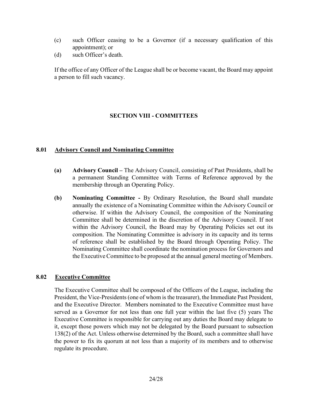- (c) such Officer ceasing to be a Governor (if a necessary qualification of this appointment); or
- (d) such Officer's death.

If the office of any Officer of the League shall be or become vacant, the Board may appoint a person to fill such vacancy.

## **SECTION VIII - COMMITTEES**

## <span id="page-23-1"></span><span id="page-23-0"></span>**8.01 Advisory Council and Nominating Committee**

- **(a) Advisory Council –** The Advisory Council, consisting of Past Presidents, shall be a permanent Standing Committee with Terms of Reference approved by the membership through an Operating Policy.
- **(b) Nominating Committee -** By Ordinary Resolution, the Board shall mandate annually the existence of a Nominating Committee within the Advisory Council or otherwise. If within the Advisory Council, the composition of the Nominating Committee shall be determined in the discretion of the Advisory Council. If not within the Advisory Council, the Board may by Operating Policies set out its composition. The Nominating Committee is advisory in its capacity and its terms of reference shall be established by the Board through Operating Policy. The Nominating Committee shall coordinate the nomination process for Governors and the Executive Committee to be proposed at the annual general meeting of Members.

## <span id="page-23-2"></span>**8.02 Executive Committee**

The Executive Committee shall be composed of the Officers of the League, including the President, the Vice-Presidents (one of whom is the treasurer), the Immediate Past President, and the Executive Director. Members nominated to the Executive Committee must have served as a Governor for not less than one full year within the last five (5) years The Executive Committee is responsible for carrying out any duties the Board may delegate to it, except those powers which may not be delegated by the Board pursuant to subsection 138(2) of the Act. Unless otherwise determined by the Board, such a committee shall have the power to fix its quorum at not less than a majority of its members and to otherwise regulate its procedure.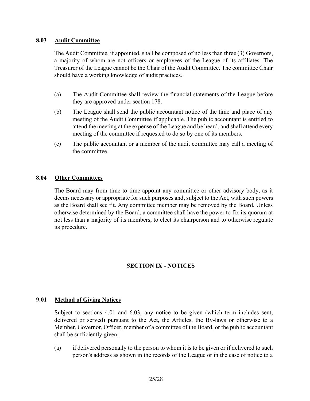#### <span id="page-24-0"></span>**8.03 Audit Committee**

The Audit Committee, if appointed, shall be composed of no less than three (3) Governors, a majority of whom are not officers or employees of the League of its affiliates. The Treasurer of the League cannot be the Chair of the Audit Committee. The committee Chair should have a working knowledge of audit practices.

- (a) The Audit Committee shall review the financial statements of the League before they are approved under section 178.
- (b) The League shall send the public accountant notice of the time and place of any meeting of the Audit Committee if applicable. The public accountant is entitled to attend the meeting at the expense of the League and be heard, and shall attend every meeting of the committee if requested to do so by one of its members.
- (c) The public accountant or a member of the audit committee may call a meeting of the committee.

## <span id="page-24-1"></span>**8.04 Other Committees**

<span id="page-24-2"></span>The Board may from time to time appoint any committee or other advisory body, as it deems necessary or appropriate for such purposes and, subject to the Act, with such powers as the Board shall see fit. Any committee member may be removed by the Board. Unless otherwise determined by the Board, a committee shall have the power to fix its quorum at not less than a majority of its members, to elect its chairperson and to otherwise regulate its procedure.

## **SECTION IX - NOTICES**

## <span id="page-24-3"></span>**9.01 Method of Giving Notices**

Subject to sections 4.01 and 6.03, any notice to be given (which term includes sent, delivered or served) pursuant to the Act, the Articles, the By-laws or otherwise to a Member, Governor, Officer, member of a committee of the Board, or the public accountant shall be sufficiently given:

(a) if delivered personally to the person to whom it is to be given or if delivered to such person's address as shown in the records of the League or in the case of notice to a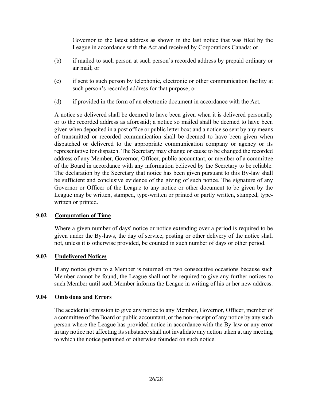Governor to the latest address as shown in the last notice that was filed by the League in accordance with the Act and received by Corporations Canada; or

- (b) if mailed to such person at such person's recorded address by prepaid ordinary or air mail; or
- (c) if sent to such person by telephonic, electronic or other communication facility at such person's recorded address for that purpose; or
- (d) if provided in the form of an electronic document in accordance with the Act.

A notice so delivered shall be deemed to have been given when it is delivered personally or to the recorded address as aforesaid; a notice so mailed shall be deemed to have been given when deposited in a post office or public letter box; and a notice so sent by any means of transmitted or recorded communication shall be deemed to have been given when dispatched or delivered to the appropriate communication company or agency or its representative for dispatch. The Secretary may change or cause to be changed the recorded address of any Member, Governor, Officer, public accountant, or member of a committee of the Board in accordance with any information believed by the Secretary to be reliable. The declaration by the Secretary that notice has been given pursuant to this By-law shall be sufficient and conclusive evidence of the giving of such notice. The signature of any Governor or Officer of the League to any notice or other document to be given by the League may be written, stamped, type-written or printed or partly written, stamped, typewritten or printed.

## <span id="page-25-0"></span>**9.02 Computation of Time**

Where a given number of days' notice or notice extending over a period is required to be given under the By-laws, the day of service, posting or other delivery of the notice shall not, unless it is otherwise provided, be counted in such number of days or other period.

## <span id="page-25-1"></span>**9.03 Undelivered Notices**

If any notice given to a Member is returned on two consecutive occasions because such Member cannot be found, the League shall not be required to give any further notices to such Member until such Member informs the League in writing of his or her new address.

## <span id="page-25-2"></span>**9.04 Omissions and Errors**

The accidental omission to give any notice to any Member, Governor, Officer, member of a committee of the Board or public accountant, or the non-receipt of any notice by any such person where the League has provided notice in accordance with the By-law or any error in any notice not affecting its substance shall not invalidate any action taken at any meeting to which the notice pertained or otherwise founded on such notice.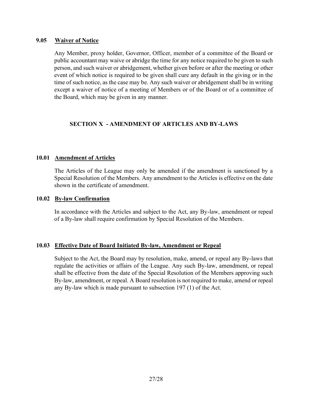#### <span id="page-26-0"></span>**9.05 Waiver of Notice**

Any Member, proxy holder, Governor, Officer, member of a committee of the Board or public accountant may waive or abridge the time for any notice required to be given to such person, and such waiver or abridgement, whether given before or after the meeting or other event of which notice is required to be given shall cure any default in the giving or in the time of such notice, as the case may be. Any such waiver or abridgement shall be in writing except a waiver of notice of a meeting of Members or of the Board or of a committee of the Board, which may be given in any manner.

## <span id="page-26-1"></span>**SECTION X - AMENDMENT OF ARTICLES AND BY-LAWS**

## <span id="page-26-2"></span>**10.01 Amendment of Articles**

The Articles of the League may only be amended if the amendment is sanctioned by a Special Resolution of the Members. Any amendment to the Articles is effective on the date shown in the certificate of amendment.

#### <span id="page-26-3"></span>**10.02 By-law Confirmation**

In accordance with the Articles and subject to the Act, any By-law, amendment or repeal of a By-law shall require confirmation by Special Resolution of the Members.

#### <span id="page-26-4"></span>**10.03 Effective Date of Board Initiated By-law, Amendment or Repeal**

<span id="page-26-5"></span>Subject to the Act, the Board may by resolution, make, amend, or repeal any By-laws that regulate the activities or affairs of the League. Any such By-law, amendment, or repeal shall be effective from the date of the Special Resolution of the Members approving such By-law, amendment, or repeal. A Board resolution is not required to make, amend or repeal any By-law which is made pursuant to subsection 197 (1) of the Act.